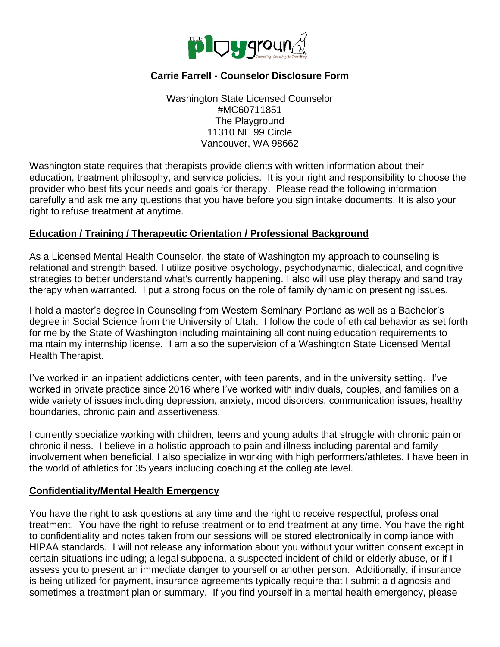

# **Carrie Farrell - Counselor Disclosure Form**

Washington State Licensed Counselor #MC60711851 The Playground 11310 NE 99 Circle Vancouver, WA 98662

Washington state requires that therapists provide clients with written information about their education, treatment philosophy, and service policies. It is your right and responsibility to choose the provider who best fits your needs and goals for therapy. Please read the following information carefully and ask me any questions that you have before you sign intake documents. It is also your right to refuse treatment at anytime.

### **Education / Training / Therapeutic Orientation / Professional Background**

As a Licensed Mental Health Counselor, the state of Washington my approach to counseling is relational and strength based. I utilize positive psychology, psychodynamic, dialectical, and cognitive strategies to better understand what's currently happening. I also will use play therapy and sand tray therapy when warranted. I put a strong focus on the role of family dynamic on presenting issues.

I hold a master's degree in Counseling from Western Seminary-Portland as well as a Bachelor's degree in Social Science from the University of Utah. I follow the code of ethical behavior as set forth for me by the State of Washington including maintaining all continuing education requirements to maintain my internship license. I am also the supervision of a Washington State Licensed Mental Health Therapist.

I've worked in an inpatient addictions center, with teen parents, and in the university setting. I've worked in private practice since 2016 where I've worked with individuals, couples, and families on a wide variety of issues including depression, anxiety, mood disorders, communication issues, healthy boundaries, chronic pain and assertiveness.

I currently specialize working with children, teens and young adults that struggle with chronic pain or chronic illness. I believe in a holistic approach to pain and illness including parental and family involvement when beneficial. I also specialize in working with high performers/athletes. I have been in the world of athletics for 35 years including coaching at the collegiate level.

### **Confidentiality/Mental Health Emergency**

You have the right to ask questions at any time and the right to receive respectful, professional treatment. You have the right to refuse treatment or to end treatment at any time. You have the right to confidentiality and notes taken from our sessions will be stored electronically in compliance with HIPAA standards. I will not release any information about you without your written consent except in certain situations including; a legal subpoena, a suspected incident of child or elderly abuse, or if I assess you to present an immediate danger to yourself or another person. Additionally, if insurance is being utilized for payment, insurance agreements typically require that I submit a diagnosis and sometimes a treatment plan or summary. If you find yourself in a mental health emergency, please